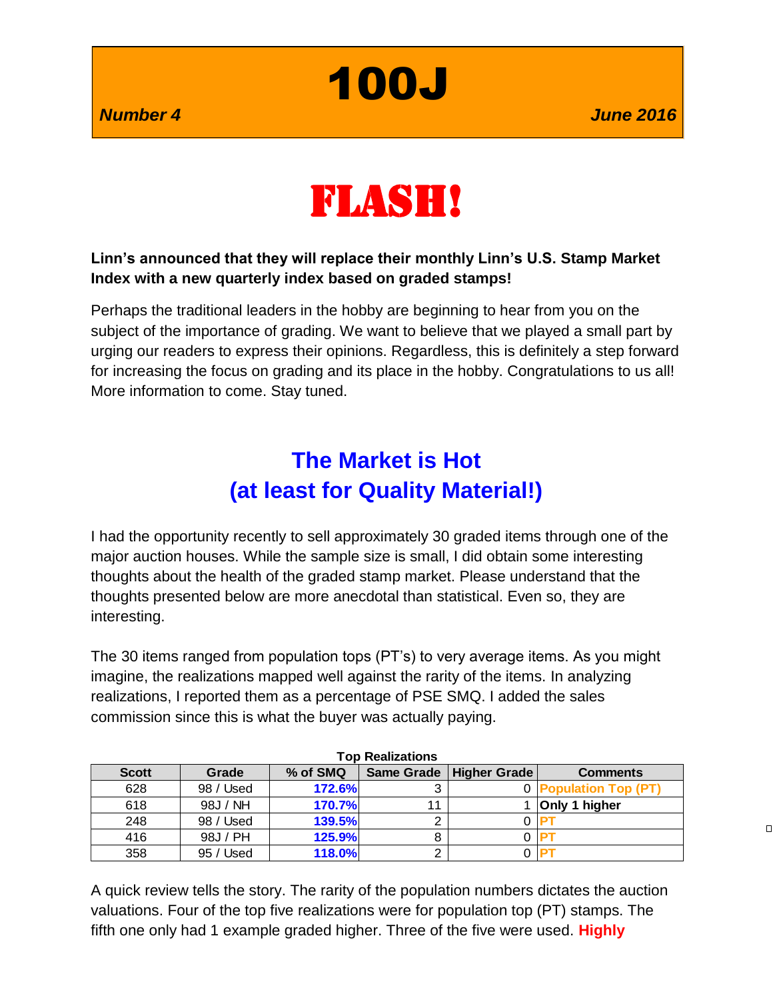100J

 $\Box$ 



#### **Linn's announced that they will replace their monthly Linn's U.S. Stamp Market Index with a new quarterly index based on graded stamps!**

Perhaps the traditional leaders in the hobby are beginning to hear from you on the subject of the importance of grading. We want to believe that we played a small part by urging our readers to express their opinions. Regardless, this is definitely a step forward for increasing the focus on grading and its place in the hobby. Congratulations to us all! More information to come. Stay tuned.

## **The Market is Hot (at least for Quality Material!)**

I had the opportunity recently to sell approximately 30 graded items through one of the major auction houses. While the sample size is small, I did obtain some interesting thoughts about the health of the graded stamp market. Please understand that the thoughts presented below are more anecdotal than statistical. Even so, they are interesting.

The 30 items ranged from population tops (PT's) to very average items. As you might imagine, the realizations mapped well against the rarity of the items. In analyzing realizations, I reported them as a percentage of PSE SMQ. I added the sales commission since this is what the buyer was actually paying.

| Top Realizations |           |          |    |                           |                       |  |
|------------------|-----------|----------|----|---------------------------|-----------------------|--|
| <b>Scott</b>     | Grade     | % of SMQ |    | Same Grade   Higher Grade | <b>Comments</b>       |  |
| 628              | 98 / Used | 172.6%   |    |                           | 0 Population Top (PT) |  |
| 618              | 98J / NH  | 170.7%   | 11 |                           | Only 1 higher         |  |
| 248              | 98 / Used | 139.5%   | ົ  |                           |                       |  |
| 416              | 98J / PH  | 125.9%   | 8  |                           |                       |  |
| 358              | 95 / Used | 118.0%   |    |                           |                       |  |

**Top Realizations**

A quick review tells the story. The rarity of the population numbers dictates the auction valuations. Four of the top five realizations were for population top (PT) stamps. The fifth one only had 1 example graded higher. Three of the five were used. **Highly**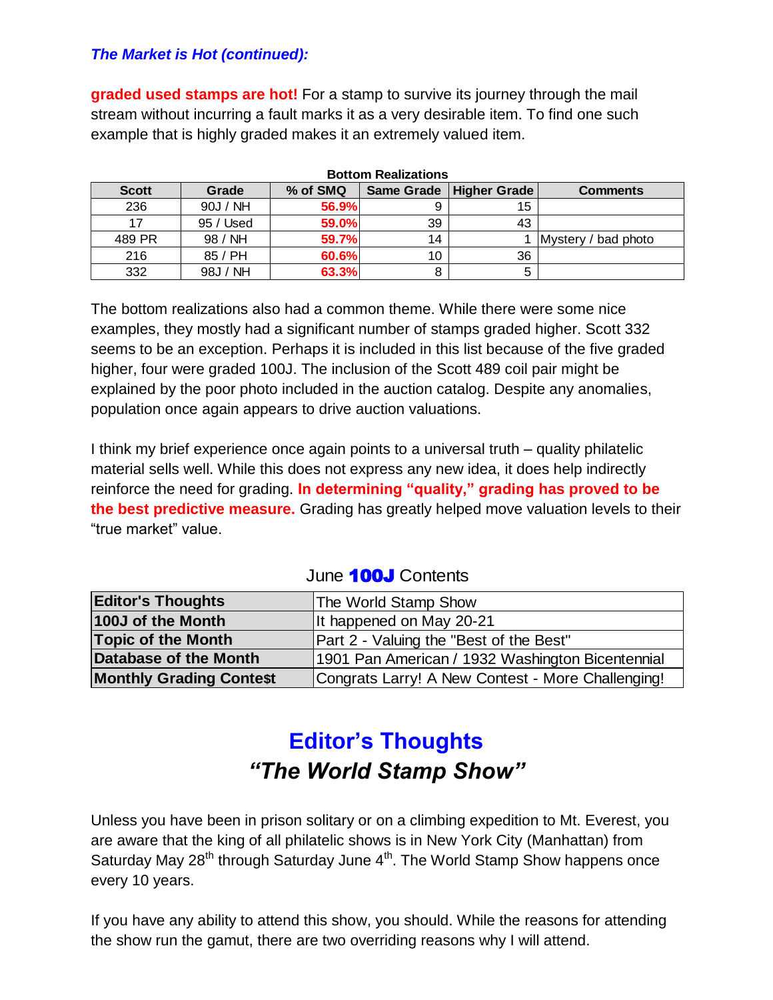#### *The Market is Hot (continued):*

**graded used stamps are hot!** For a stamp to survive its journey through the mail stream without incurring a fault marks it as a very desirable item. To find one such example that is highly graded makes it an extremely valued item.

| <b>BULLOTTI REGILEGEIOTIS</b> |           |          |    |                           |                     |  |
|-------------------------------|-----------|----------|----|---------------------------|---------------------|--|
| <b>Scott</b>                  | Grade     | % of SMQ |    | Same Grade   Higher Grade | <b>Comments</b>     |  |
| 236                           | 90J / NH  | 56.9%    |    | 15                        |                     |  |
|                               | 95 / Used | 59.0%    | 39 | 43                        |                     |  |
| 489 PR                        | 98 / NH   | 59.7%    | 14 |                           | Mystery / bad photo |  |
| 216                           | 85 / PH   | 60.6%    | 10 | 36                        |                     |  |
| 332                           | 98J / NH  | 63.3%    |    |                           |                     |  |

**Bottom Realizations**

The bottom realizations also had a common theme. While there were some nice examples, they mostly had a significant number of stamps graded higher. Scott 332 seems to be an exception. Perhaps it is included in this list because of the five graded higher, four were graded 100J. The inclusion of the Scott 489 coil pair might be explained by the poor photo included in the auction catalog. Despite any anomalies, population once again appears to drive auction valuations.

I think my brief experience once again points to a universal truth – quality philatelic material sells well. While this does not express any new idea, it does help indirectly reinforce the need for grading. **In determining "quality," grading has proved to be the best predictive measure.** Grading has greatly helped move valuation levels to their "true market" value.

| <b>Editor's Thoughts</b>       | The World Stamp Show                              |  |  |
|--------------------------------|---------------------------------------------------|--|--|
| 100J of the Month              | It happened on May 20-21                          |  |  |
| <b>Topic of the Month</b>      | Part 2 - Valuing the "Best of the Best"           |  |  |
| Database of the Month          | 1901 Pan American / 1932 Washington Bicentennial  |  |  |
| <b>Monthly Grading Contest</b> | Congrats Larry! A New Contest - More Challenging! |  |  |

## June **100J** Contents

# **Editor's Thoughts** *"The World Stamp Show"*

Unless you have been in prison solitary or on a climbing expedition to Mt. Everest, you are aware that the king of all philatelic shows is in New York City (Manhattan) from Saturday May  $28<sup>th</sup>$  through Saturday June  $4<sup>th</sup>$ . The World Stamp Show happens once every 10 years.

If you have any ability to attend this show, you should. While the reasons for attending the show run the gamut, there are two overriding reasons why I will attend.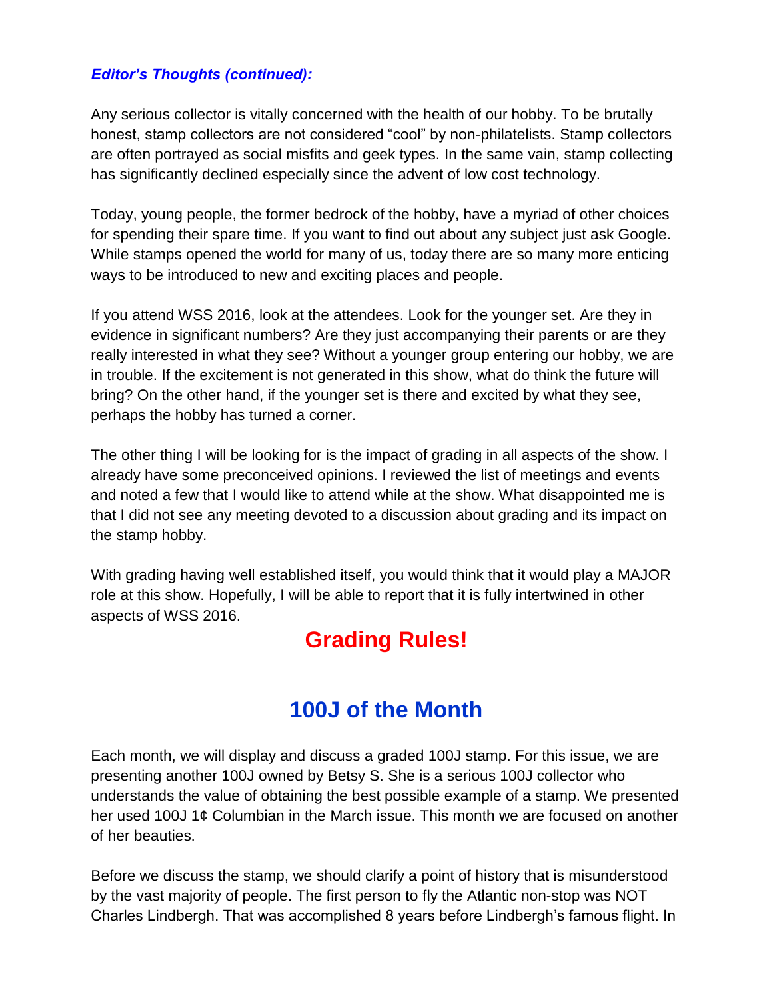#### *Editor's Thoughts (continued):*

Any serious collector is vitally concerned with the health of our hobby. To be brutally honest, stamp collectors are not considered "cool" by non-philatelists. Stamp collectors are often portrayed as social misfits and geek types. In the same vain, stamp collecting has significantly declined especially since the advent of low cost technology.

Today, young people, the former bedrock of the hobby, have a myriad of other choices for spending their spare time. If you want to find out about any subject just ask Google. While stamps opened the world for many of us, today there are so many more enticing ways to be introduced to new and exciting places and people.

If you attend WSS 2016, look at the attendees. Look for the younger set. Are they in evidence in significant numbers? Are they just accompanying their parents or are they really interested in what they see? Without a younger group entering our hobby, we are in trouble. If the excitement is not generated in this show, what do think the future will bring? On the other hand, if the younger set is there and excited by what they see, perhaps the hobby has turned a corner.

The other thing I will be looking for is the impact of grading in all aspects of the show. I already have some preconceived opinions. I reviewed the list of meetings and events and noted a few that I would like to attend while at the show. What disappointed me is that I did not see any meeting devoted to a discussion about grading and its impact on the stamp hobby.

With grading having well established itself, you would think that it would play a MAJOR role at this show. Hopefully, I will be able to report that it is fully intertwined in other aspects of WSS 2016.

## **Grading Rules!**

## **100J of the Month**

Each month, we will display and discuss a graded 100J stamp. For this issue, we are presenting another 100J owned by Betsy S. She is a serious 100J collector who understands the value of obtaining the best possible example of a stamp. We presented her used 100J 1¢ Columbian in the March issue. This month we are focused on another of her beauties.

Before we discuss the stamp, we should clarify a point of history that is misunderstood by the vast majority of people. The first person to fly the Atlantic non-stop was NOT Charles Lindbergh. That was accomplished 8 years before Lindbergh's famous flight. In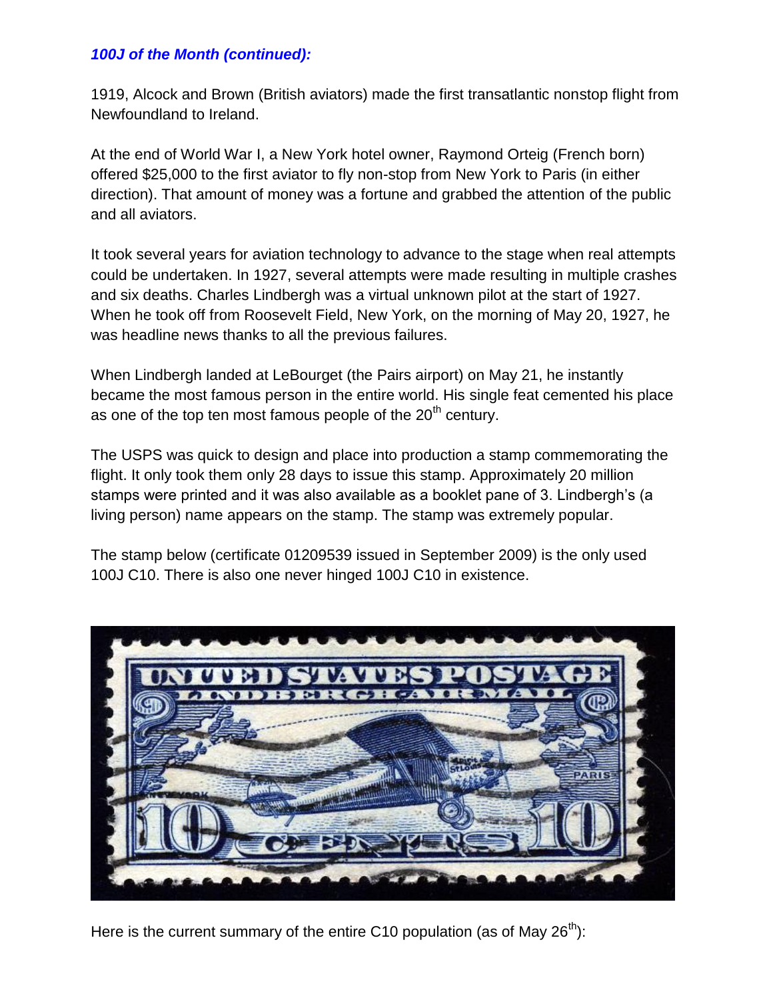#### *100J of the Month (continued):*

1919, Alcock and Brown (British aviators) made the first transatlantic nonstop flight from Newfoundland to Ireland.

At the end of World War I, a New York hotel owner, Raymond Orteig (French born) offered \$25,000 to the first aviator to fly non-stop from New York to Paris (in either direction). That amount of money was a fortune and grabbed the attention of the public and all aviators.

It took several years for aviation technology to advance to the stage when real attempts could be undertaken. In 1927, several attempts were made resulting in multiple crashes and six deaths. Charles Lindbergh was a virtual unknown pilot at the start of 1927. When he took off from Roosevelt Field, New York, on the morning of May 20, 1927, he was headline news thanks to all the previous failures.

When Lindbergh landed at LeBourget (the Pairs airport) on May 21, he instantly became the most famous person in the entire world. His single feat cemented his place as one of the top ten most famous people of the  $20<sup>th</sup>$  century.

The USPS was quick to design and place into production a stamp commemorating the flight. It only took them only 28 days to issue this stamp. Approximately 20 million stamps were printed and it was also available as a booklet pane of 3. Lindbergh's (a living person) name appears on the stamp. The stamp was extremely popular.

The stamp below (certificate 01209539 issued in September 2009) is the only used 100J C10. There is also one never hinged 100J C10 in existence.



Here is the current summary of the entire C10 population (as of May  $26<sup>th</sup>$ ):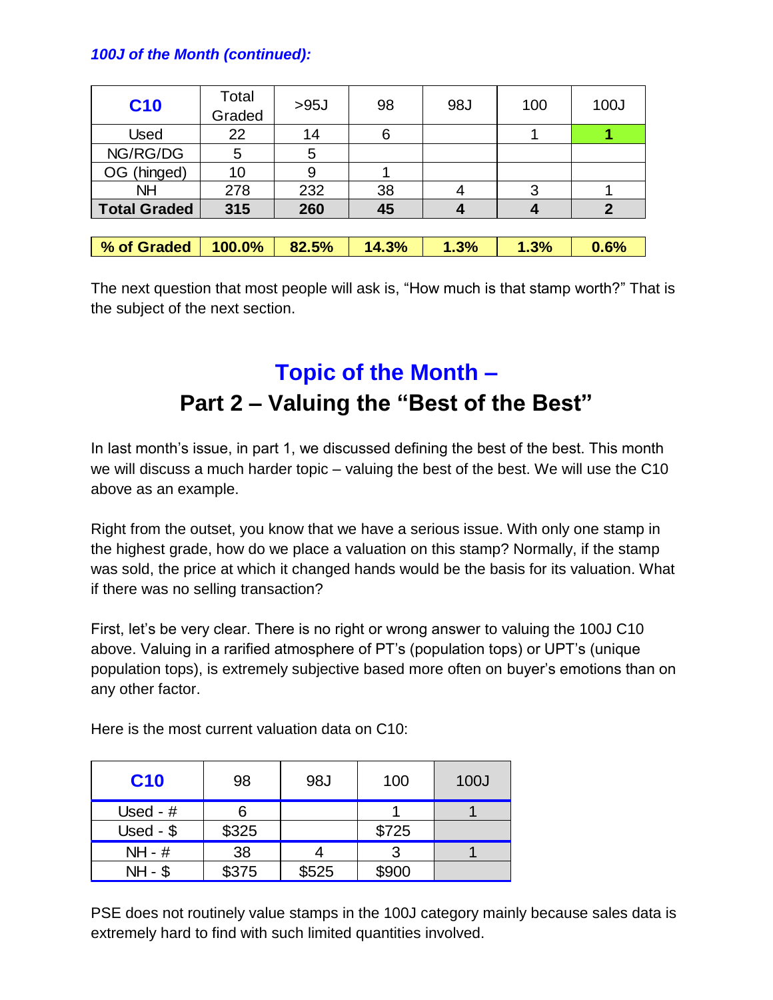## *100J of the Month (continued):*

| <b>C10</b>          | Total<br>Graded | >95J  | 98    | 98J  | 100  | 100J           |
|---------------------|-----------------|-------|-------|------|------|----------------|
| <b>Used</b>         | 22              | 14    | 6     |      |      |                |
| NG/RG/DG            | 5               | 5     |       |      |      |                |
| OG (hinged)         | 10              | 9     |       |      |      |                |
| <b>NH</b>           | 278             | 232   | 38    | 4    | 3    |                |
| <b>Total Graded</b> | 315             | 260   | 45    |      |      | $\overline{2}$ |
|                     |                 |       |       |      |      |                |
| % of Graded         | 100.0%          | 82.5% | 14.3% | 1.3% | 1.3% | 0.6%           |

The next question that most people will ask is, "How much is that stamp worth?" That is the subject of the next section.

# **Topic of the Month – Part 2 – Valuing the "Best of the Best"**

In last month's issue, in part 1, we discussed defining the best of the best. This month we will discuss a much harder topic – valuing the best of the best. We will use the C10 above as an example.

Right from the outset, you know that we have a serious issue. With only one stamp in the highest grade, how do we place a valuation on this stamp? Normally, if the stamp was sold, the price at which it changed hands would be the basis for its valuation. What if there was no selling transaction?

First, let's be very clear. There is no right or wrong answer to valuing the 100J C10 above. Valuing in a rarified atmosphere of PT's (population tops) or UPT's (unique population tops), is extremely subjective based more often on buyer's emotions than on any other factor.

Here is the most current valuation data on C10:

| <b>C10</b> | 98    | 98J   | 100   | 100J |
|------------|-------|-------|-------|------|
| Used - $#$ |       |       |       |      |
| Used - $$$ | \$325 |       | \$725 |      |
| $NH - #$   | 38    |       |       |      |
| $NH - $$   | \$375 | \$525 | \$900 |      |

PSE does not routinely value stamps in the 100J category mainly because sales data is extremely hard to find with such limited quantities involved.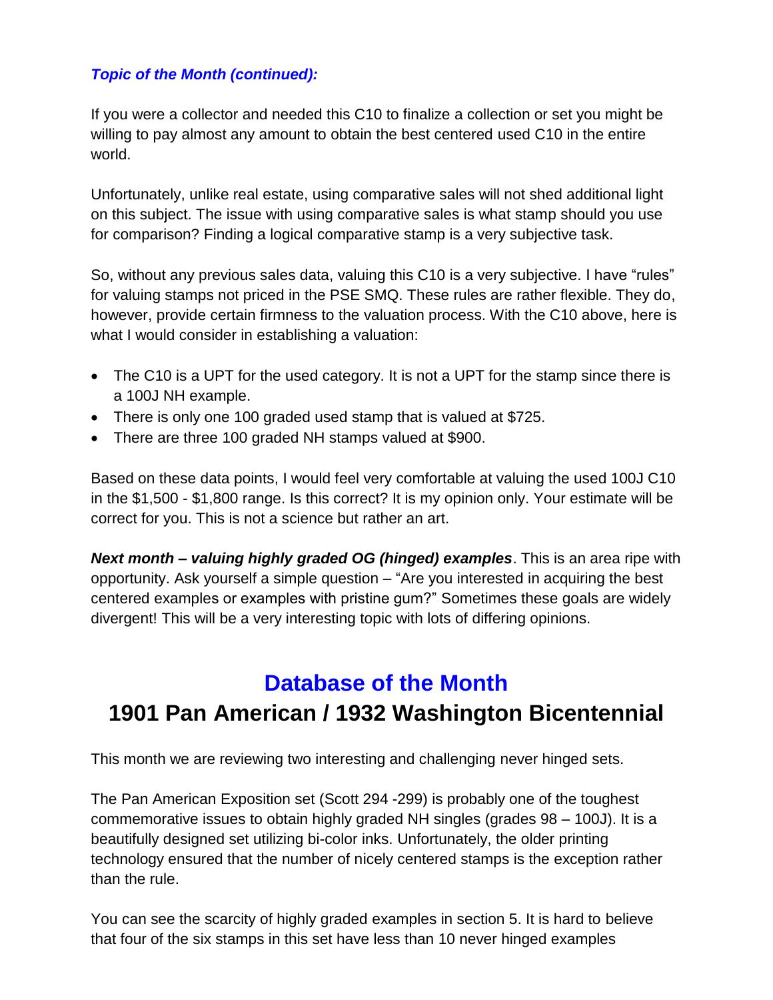## *Topic of the Month (continued):*

If you were a collector and needed this C10 to finalize a collection or set you might be willing to pay almost any amount to obtain the best centered used C10 in the entire world.

Unfortunately, unlike real estate, using comparative sales will not shed additional light on this subject. The issue with using comparative sales is what stamp should you use for comparison? Finding a logical comparative stamp is a very subjective task.

So, without any previous sales data, valuing this C10 is a very subjective. I have "rules" for valuing stamps not priced in the PSE SMQ. These rules are rather flexible. They do, however, provide certain firmness to the valuation process. With the C10 above, here is what I would consider in establishing a valuation:

- The C10 is a UPT for the used category. It is not a UPT for the stamp since there is a 100J NH example.
- There is only one 100 graded used stamp that is valued at \$725.
- There are three 100 graded NH stamps valued at \$900.

Based on these data points, I would feel very comfortable at valuing the used 100J C10 in the \$1,500 - \$1,800 range. Is this correct? It is my opinion only. Your estimate will be correct for you. This is not a science but rather an art.

*Next month – valuing highly graded OG (hinged) examples*. This is an area ripe with opportunity. Ask yourself a simple question – "Are you interested in acquiring the best centered examples or examples with pristine gum?" Sometimes these goals are widely divergent! This will be a very interesting topic with lots of differing opinions.

# **Database of the Month 1901 Pan American / 1932 Washington Bicentennial**

This month we are reviewing two interesting and challenging never hinged sets.

The Pan American Exposition set (Scott 294 -299) is probably one of the toughest commemorative issues to obtain highly graded NH singles (grades 98 – 100J). It is a beautifully designed set utilizing bi-color inks. Unfortunately, the older printing technology ensured that the number of nicely centered stamps is the exception rather than the rule.

You can see the scarcity of highly graded examples in section 5. It is hard to believe that four of the six stamps in this set have less than 10 never hinged examples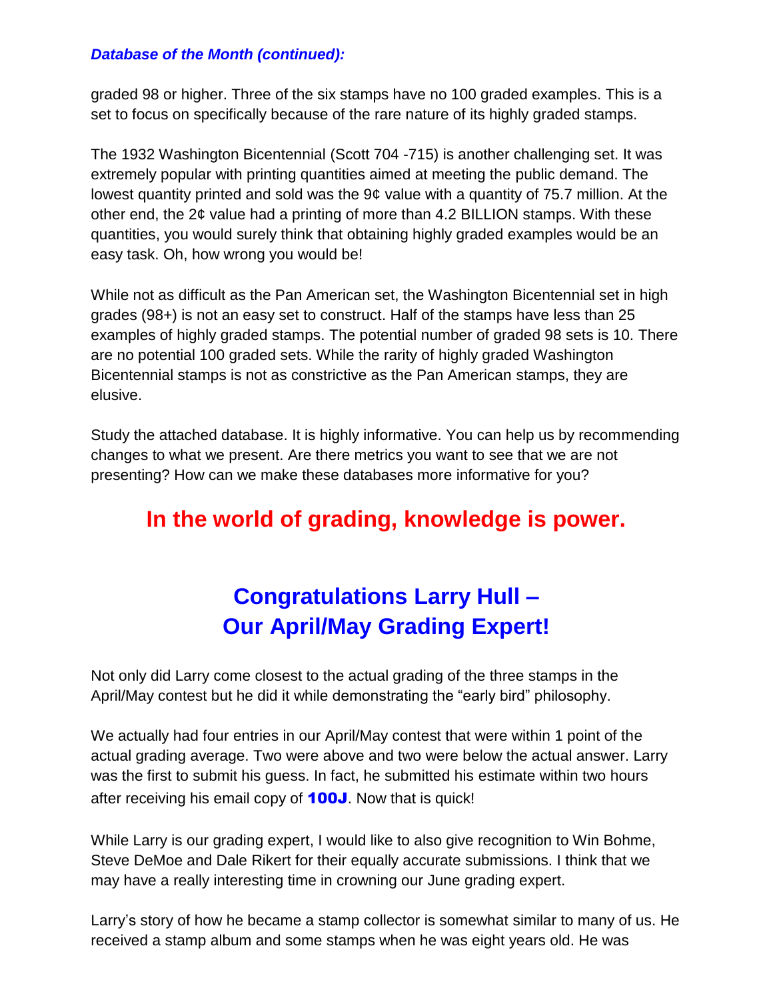#### *Database of the Month (continued):*

graded 98 or higher. Three of the six stamps have no 100 graded examples. This is a set to focus on specifically because of the rare nature of its highly graded stamps.

The 1932 Washington Bicentennial (Scott 704 -715) is another challenging set. It was extremely popular with printing quantities aimed at meeting the public demand. The lowest quantity printed and sold was the 9¢ value with a quantity of 75.7 million. At the other end, the 2¢ value had a printing of more than 4.2 BILLION stamps. With these quantities, you would surely think that obtaining highly graded examples would be an easy task. Oh, how wrong you would be!

While not as difficult as the Pan American set, the Washington Bicentennial set in high grades (98+) is not an easy set to construct. Half of the stamps have less than 25 examples of highly graded stamps. The potential number of graded 98 sets is 10. There are no potential 100 graded sets. While the rarity of highly graded Washington Bicentennial stamps is not as constrictive as the Pan American stamps, they are elusive.

Study the attached database. It is highly informative. You can help us by recommending changes to what we present. Are there metrics you want to see that we are not presenting? How can we make these databases more informative for you?

## **In the world of grading, knowledge is power.**

# **Congratulations Larry Hull – Our April/May Grading Expert!**

Not only did Larry come closest to the actual grading of the three stamps in the April/May contest but he did it while demonstrating the "early bird" philosophy.

We actually had four entries in our April/May contest that were within 1 point of the actual grading average. Two were above and two were below the actual answer. Larry was the first to submit his guess. In fact, he submitted his estimate within two hours after receiving his email copy of **100J**. Now that is quick!

While Larry is our grading expert, I would like to also give recognition to Win Bohme, Steve DeMoe and Dale Rikert for their equally accurate submissions. I think that we may have a really interesting time in crowning our June grading expert.

Larry's story of how he became a stamp collector is somewhat similar to many of us. He received a stamp album and some stamps when he was eight years old. He was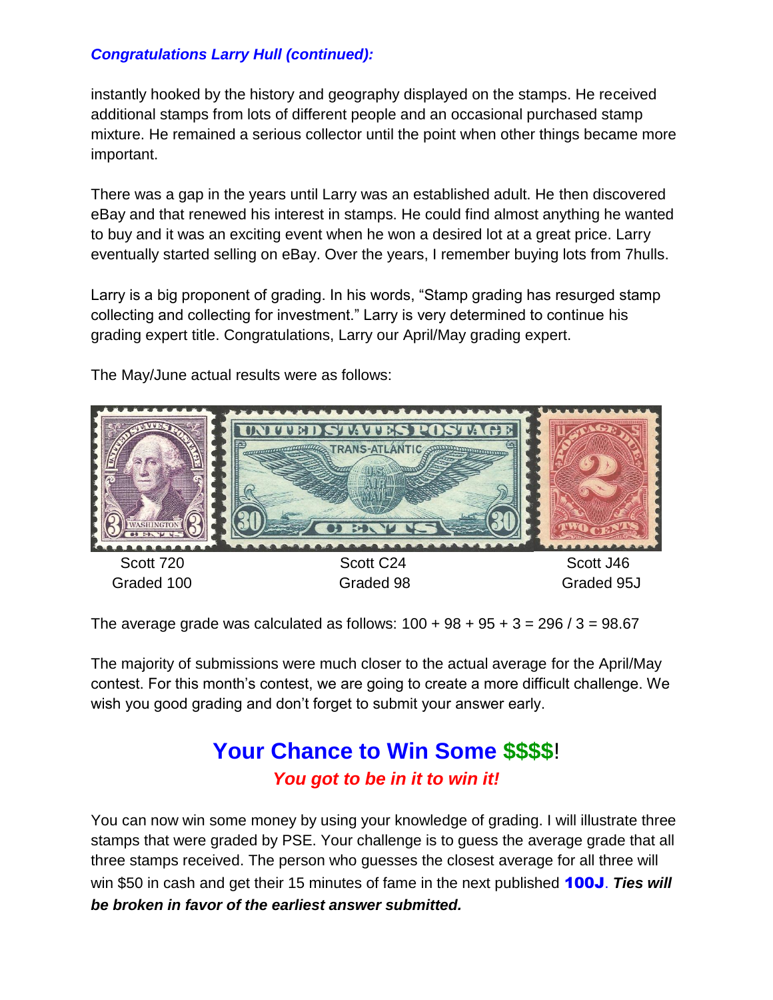## *Congratulations Larry Hull (continued):*

instantly hooked by the history and geography displayed on the stamps. He received additional stamps from lots of different people and an occasional purchased stamp mixture. He remained a serious collector until the point when other things became more important.

There was a gap in the years until Larry was an established adult. He then discovered eBay and that renewed his interest in stamps. He could find almost anything he wanted to buy and it was an exciting event when he won a desired lot at a great price. Larry eventually started selling on eBay. Over the years, I remember buying lots from 7hulls.

Larry is a big proponent of grading. In his words, "Stamp grading has resurged stamp collecting and collecting for investment." Larry is very determined to continue his grading expert title. Congratulations, Larry our April/May grading expert.

The May/June actual results were as follows:



The average grade was calculated as follows:  $100 + 98 + 95 + 3 = 296 / 3 = 98.67$ 

The majority of submissions were much closer to the actual average for the April/May contest. For this month's contest, we are going to create a more difficult challenge. We wish you good grading and don't forget to submit your answer early.

## **Your Chance to Win Some \$\$\$\$**! *You got to be in it to win it!*

You can now win some money by using your knowledge of grading. I will illustrate three stamps that were graded by PSE. Your challenge is to guess the average grade that all three stamps received. The person who guesses the closest average for all three will win \$50 in cash and get their 15 minutes of fame in the next published 100J. *Ties will be broken in favor of the earliest answer submitted.*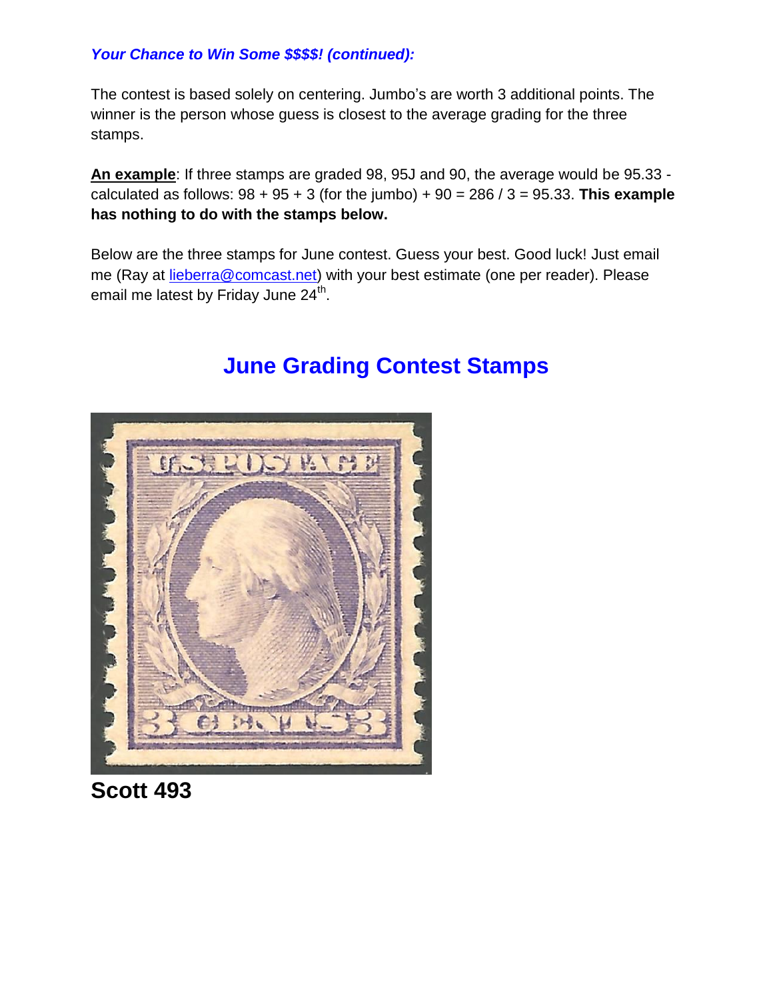## *Your Chance to Win Some \$\$\$\$! (continued):*

The contest is based solely on centering. Jumbo's are worth 3 additional points. The winner is the person whose guess is closest to the average grading for the three stamps.

**An example**: If three stamps are graded 98, 95J and 90, the average would be 95.33 calculated as follows: 98 + 95 + 3 (for the jumbo) + 90 = 286 / 3 = 95.33. **This example has nothing to do with the stamps below.**

Below are the three stamps for June contest. Guess your best. Good luck! Just email me (Ray at [lieberra@comcast.net\)](mailto:lieberra@comcast.net) with your best estimate (one per reader). Please email me latest by Friday June 24<sup>th</sup>.

# EF. V. p.e

## **June Grading Contest Stamps**

**Scott 493**